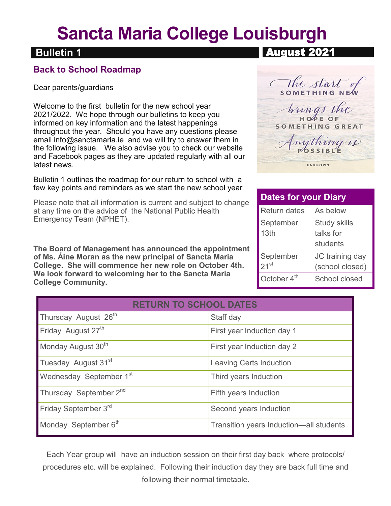# **Sancta Maria College Louisburgh**

### **Bulletin 1 Bulletin 1**

#### **Back to School Roadmap**

Dear parents/guardians

Welcome to the first bulletin for the new school year 2021/2022. We hope through our bulletins to keep you informed on key information and the latest happenings throughout the year. Should you have any questions please email info@sanctamaria.ie and we will try to answer them in the following issue. We also advise you to check our website and Facebook pages as they are updated regularly with all our latest news.

Bulletin 1 outlines the roadmap for our return to school with a few key points and reminders as we start the new school year

Please note that all information is current and subject to change at any time on the advice of the National Public Health Emergency Team (NPHET).

**The Board of Management has announced the appointment of Ms. Áine Moran as the new principal of Sancta Maria College. She will commence her new role on October 4th. We look forward to welcoming her to the Sancta Maria College Community.**

| August Zuz I |  |
|--------------|--|
|              |  |
|              |  |

( The start SOMETHING NEW trings HOPE OF **SOMETHING GREAT** *muthing is* UNKNOWN

| <b>Dates for your Diary</b> |                                              |  |  |  |
|-----------------------------|----------------------------------------------|--|--|--|
| <b>Return dates</b>         | As below                                     |  |  |  |
| September<br>13th           | <b>Study skills</b><br>talks for<br>students |  |  |  |
| September<br>$21^{st}$      | JC training day<br>(school closed)           |  |  |  |
| October 4 <sup>th</sup>     | School closed                                |  |  |  |

| <b>RETURN TO SCHOOL DATES</b>       |                                         |  |  |  |
|-------------------------------------|-----------------------------------------|--|--|--|
| Thursday August 26 <sup>th</sup>    | Staff day                               |  |  |  |
| Friday August 27 <sup>th</sup>      | First year Induction day 1              |  |  |  |
| Monday August 30 <sup>th</sup>      | First year Induction day 2              |  |  |  |
| Tuesday August 31 <sup>st</sup>     | <b>Leaving Certs Induction</b>          |  |  |  |
| Wednesday September 1 <sup>st</sup> | Third years Induction                   |  |  |  |
| Thursday September 2 <sup>nd</sup>  | Fifth years Induction                   |  |  |  |
| Friday September 3rd                | Second years Induction                  |  |  |  |
| Monday September 6th                | Transition years Induction—all students |  |  |  |

Each Year group will have an induction session on their first day back where protocols/ procedures etc. will be explained. Following their induction day they are back full time and following their normal timetable.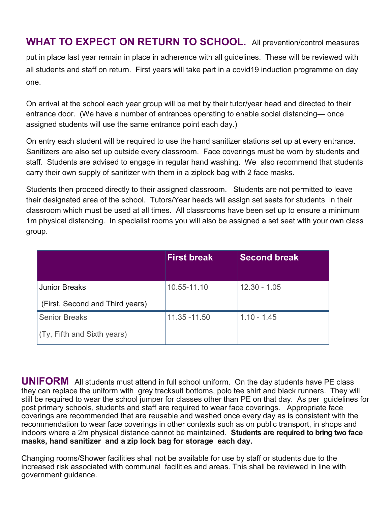**WHAT TO EXPECT ON RETURN TO SCHOOL.** All prevention/control measures

put in place last year remain in place in adherence with all guidelines. These will be reviewed with all students and staff on return. First years will take part in a covid19 induction programme on day one.

On arrival at the school each year group will be met by their tutor/year head and directed to their entrance door. (We have a number of entrances operating to enable social distancing— once assigned students will use the same entrance point each day.)

On entry each student will be required to use the hand sanitizer stations set up at every entrance. Sanitizers are also set up outside every classroom. Face coverings must be worn by students and staff. Students are advised to engage in regular hand washing. We also recommend that students carry their own supply of sanitizer with them in a ziplock bag with 2 face masks.

Students then proceed directly to their assigned classroom. Students are not permitted to leave their designated area of the school. Tutors/Year heads will assign set seats for students in their classroom which must be used at all times. All classrooms have been set up to ensure a minimum 1m physical distancing. In specialist rooms you will also be assigned a set seat with your own class group.

|                                 | <b>First break</b> | <b>Second break</b> |
|---------------------------------|--------------------|---------------------|
|                                 |                    |                     |
| <b>Junior Breaks</b>            | 10.55-11.10        | $12.30 - 1.05$      |
| (First, Second and Third years) |                    |                     |
| <b>Senior Breaks</b>            | 11.35 -11.50       | $1.10 - 1.45$       |
| (Ty, Fifth and Sixth years)     |                    |                     |

**UNIFORM** All students must attend in full school uniform. On the day students have PE class they can replace the uniform with grey tracksuit bottoms, polo tee shirt and black runners. They will still be required to wear the school jumper for classes other than PE on that day. As per guidelines for post primary schools, students and staff are required to wear face coverings. Appropriate face coverings are recommended that are reusable and washed once every day as is consistent with the recommendation to wear face coverings in other contexts such as on public transport, in shops and indoors where a 2m physical distance cannot be maintained. **Students are required to bring two face masks, hand sanitizer and a zip lock bag for storage each day.**

Changing rooms/Shower facilities shall not be available for use by staff or students due to the increased risk associated with communal facilities and areas. This shall be reviewed in line with government guidance.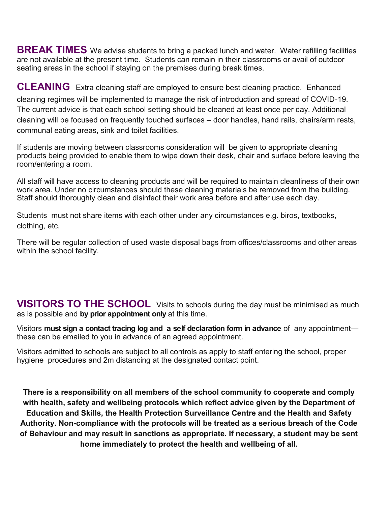**BREAK TIMES** We advise students to bring a packed lunch and water. Water refilling facilities are not available at the present time. Students can remain in their classrooms or avail of outdoor seating areas in the school if staying on the premises during break times.

**CLEANING** Extra cleaning staff are employed to ensure best cleaning practice. Enhanced cleaning regimes will be implemented to manage the risk of introduction and spread of COVID-19. The current advice is that each school setting should be cleaned at least once per day. Additional cleaning will be focused on frequently touched surfaces – door handles, hand rails, chairs/arm rests, communal eating areas, sink and toilet facilities.

If students are moving between classrooms consideration will be given to appropriate cleaning products being provided to enable them to wipe down their desk, chair and surface before leaving the room/entering a room.

All staff will have access to cleaning products and will be required to maintain cleanliness of their own work area. Under no circumstances should these cleaning materials be removed from the building. Staff should thoroughly clean and disinfect their work area before and after use each day.

Students must not share items with each other under any circumstances e.g. biros, textbooks, clothing, etc.

There will be regular collection of used waste disposal bags from offices/classrooms and other areas within the school facility.

**VISITORS TO THE SCHOOL** Visits to schools during the day must be minimised as much as is possible and **by prior appointment only** at this time.

Visitors **must sign a contact tracing log and a self declaration form in advance** of any appointment these can be emailed to you in advance of an agreed appointment.

Visitors admitted to schools are subject to all controls as apply to staff entering the school, proper hygiene procedures and 2m distancing at the designated contact point.

**There is a responsibility on all members of the school community to cooperate and comply with health, safety and wellbeing protocols which reflect advice given by the Department of Education and Skills, the Health Protection Surveillance Centre and the Health and Safety Authority. Non-compliance with the protocols will be treated as a serious breach of the Code of Behaviour and may result in sanctions as appropriate. If necessary, a student may be sent home immediately to protect the health and wellbeing of all.**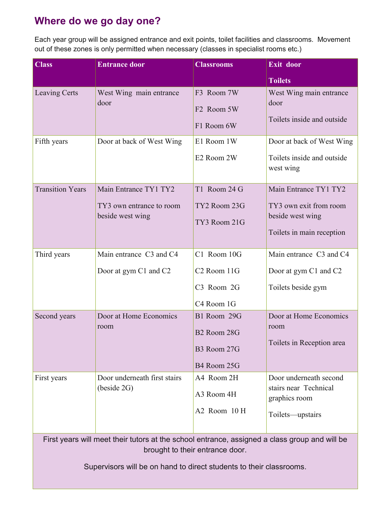## **Where do we go day one?**

Each year group will be assigned entrance and exit points, toilet facilities and classrooms. Movement out of these zones is only permitted when necessary (classes in specialist rooms etc.)

| <b>Class</b>                                                                                                                     | <b>Entrance door</b>                                                  | <b>Classrooms</b>                                                    | Exit door                                                                                        |  |
|----------------------------------------------------------------------------------------------------------------------------------|-----------------------------------------------------------------------|----------------------------------------------------------------------|--------------------------------------------------------------------------------------------------|--|
|                                                                                                                                  |                                                                       |                                                                      | <b>Toilets</b>                                                                                   |  |
| <b>Leaving Certs</b>                                                                                                             | West Wing main entrance<br>door                                       | F3 Room 7W<br>F <sub>2</sub> Room 5W<br>F1 Room 6W                   | West Wing main entrance<br>door<br>Toilets inside and outside                                    |  |
| Fifth years                                                                                                                      | Door at back of West Wing                                             | E1 Room 1W<br>E2 Room 2W                                             | Door at back of West Wing<br>Toilets inside and outside<br>west wing                             |  |
| <b>Transition Years</b>                                                                                                          | Main Entrance TY1 TY2<br>TY3 own entrance to room<br>beside west wing | T1 Room 24 G<br>TY2 Room 23G<br>TY3 Room 21G                         | Main Entrance TY1 TY2<br>TY3 own exit from room<br>beside west wing<br>Toilets in main reception |  |
| Third years                                                                                                                      | Main entrance C3 and C4<br>Door at gym C1 and C2                      | C1 Room 10G<br>C <sub>2</sub> Room 11G<br>C3 Room 2G<br>C4 Room 1G   | Main entrance C3 and C4<br>Door at gym C1 and C2<br>Toilets beside gym                           |  |
| Second years                                                                                                                     | Door at Home Economics<br>room                                        | B1 Room 29G<br>B <sub>2</sub> Room 28G<br>B3 Room 27G<br>B4 Room 25G | Door at Home Economics<br>room<br>Toilets in Reception area                                      |  |
| First years                                                                                                                      | Door underneath first stairs<br>(beside 2G)                           | A4 Room 2H<br>A3 Room 4H<br>A2 Room 10 H                             | Door underneath second<br>stairs near Technical<br>graphics room<br>Toilets-upstairs             |  |
| First years will meet their tutors at the school entrance, assigned a class group and will be<br>brought to their entrance door. |                                                                       |                                                                      |                                                                                                  |  |

Supervisors will be on hand to direct students to their classrooms.